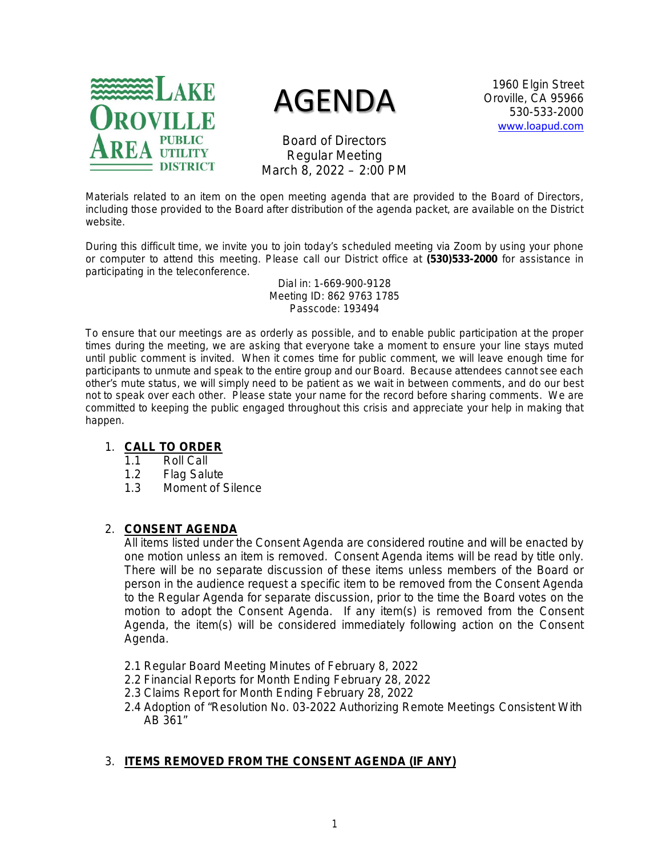

# AGENDA

1960 Elgin Street Oroville, CA 95966 530-533-2000 [www.loapud.com](http://www.loapud.com/)

Board of Directors Regular Meeting March 8, 2022 – 2:00 PM

Materials related to an item on the open meeting agenda that are provided to the Board of Directors, including those provided to the Board after distribution of the agenda packet, are available on the District website.

During this difficult time, we invite you to join today's scheduled meeting via Zoom by using your phone or computer to attend this meeting. Please call our District office at **(530)533-2000** for assistance in participating in the teleconference.

> Dial in: 1-669-900-9128 Meeting ID: 862 9763 1785 Passcode: 193494

To ensure that our meetings are as orderly as possible, and to enable public participation at the proper times during the meeting, we are asking that everyone take a moment to ensure your line stays muted until public comment is invited. When it comes time for public comment, we will leave enough time for participants to unmute and speak to the entire group and our Board. Because attendees cannot see each other's mute status, we will simply need to be patient as we wait in between comments, and do our best not to speak over each other. Please state your name for the record before sharing comments. We are committed to keeping the public engaged throughout this crisis and appreciate your help in making that happen.

#### 1. **CALL TO ORDER**

- 1.1 Roll Call
- 1.2 Flag Salute
- 1.3 Moment of Silence

# 2. **CONSENT AGENDA**

All items listed under the Consent Agenda are considered routine and will be enacted by one motion unless an item is removed. Consent Agenda items will be read by title only. There will be no separate discussion of these items unless members of the Board or person in the audience request a specific item to be removed from the Consent Agenda to the Regular Agenda for separate discussion, prior to the time the Board votes on the motion to adopt the Consent Agenda. If any item(s) is removed from the Consent Agenda, the item(s) will be considered immediately following action on the Consent Agenda.

- 2.1 Regular Board Meeting Minutes of February 8, 2022
- 2.2 Financial Reports for Month Ending February 28, 2022
- 2.3 Claims Report for Month Ending February 28, 2022
- 2.4 Adoption of "Resolution No. 03-2022 Authorizing Remote Meetings Consistent With AB 361"

# 3. **ITEMS REMOVED FROM THE CONSENT AGENDA (IF ANY)**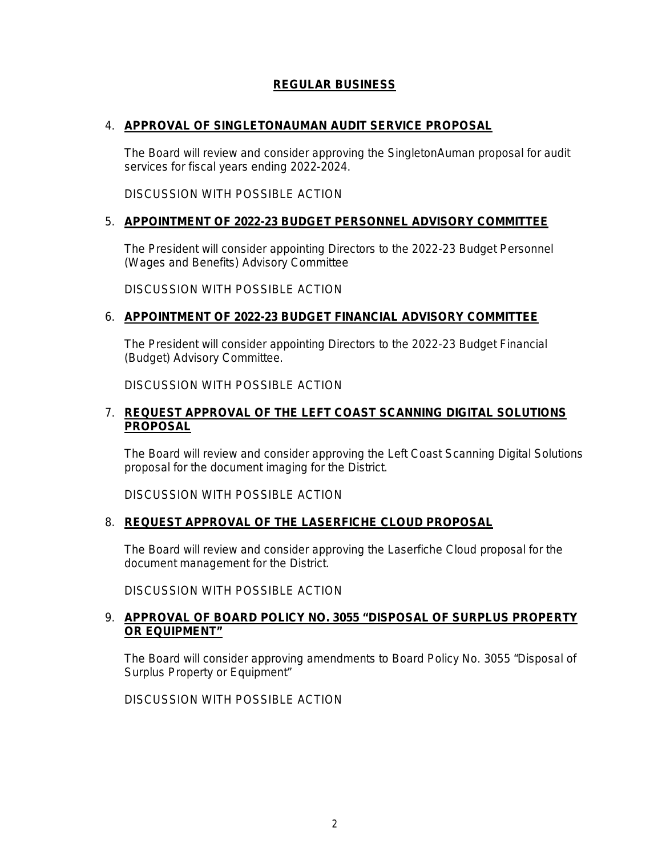## **REGULAR BUSINESS**

#### 4. **APPROVAL OF SINGLETONAUMAN AUDIT SERVICE PROPOSAL**

The Board will review and consider approving the SingletonAuman proposal for audit services for fiscal years ending 2022-2024.

*DISCUSSION WITH POSSIBLE ACTION*

#### 5. **APPOINTMENT OF 2022-23 BUDGET PERSONNEL ADVISORY COMMITTEE**

The President will consider appointing Directors to the 2022-23 Budget Personnel (Wages and Benefits) Advisory Committee

*DISCUSSION WITH POSSIBLE ACTION*

#### 6. **APPOINTMENT OF 2022-23 BUDGET FINANCIAL ADVISORY COMMITTEE**

The President will consider appointing Directors to the 2022-23 Budget Financial (Budget) Advisory Committee.

*DISCUSSION WITH POSSIBLE ACTION*

#### 7. **REQUEST APPROVAL OF THE LEFT COAST SCANNING DIGITAL SOLUTIONS PROPOSAL**

The Board will review and consider approving the Left Coast Scanning Digital Solutions proposal for the document imaging for the District.

*DISCUSSION WITH POSSIBLE ACTION*

#### 8. **REQUEST APPROVAL OF THE LASERFICHE CLOUD PROPOSAL**

The Board will review and consider approving the Laserfiche Cloud proposal for the document management for the District.

*DISCUSSION WITH POSSIBLE ACTION*

#### 9. **APPROVAL OF BOARD POLICY NO. 3055 "DISPOSAL OF SURPLUS PROPERTY OR EQUIPMENT"**

The Board will consider approving amendments to Board Policy No. 3055 "Disposal of Surplus Property or Equipment"

*DISCUSSION WITH POSSIBLE ACTION*